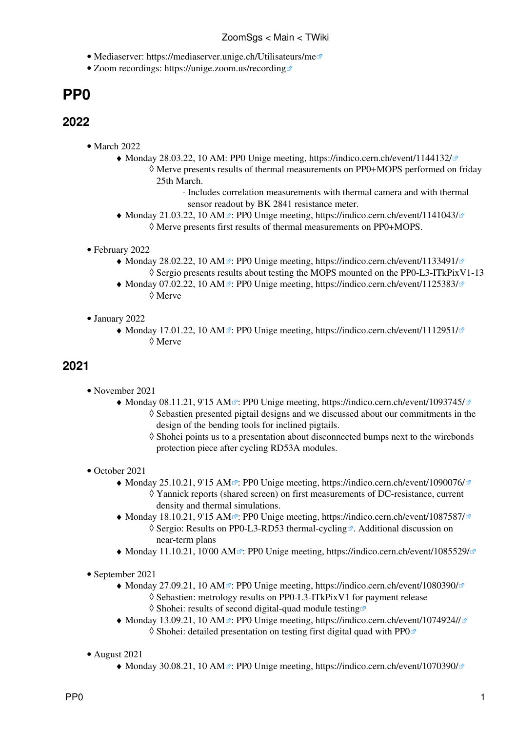- Mediaserver: <https://mediaserver.unige.ch/Utilisateurs/me>
- Zoom recordings:<https://unige.zoom.us/recording>

## **PP0**

## **2022**

- March 2022
	- Monday 28.03.22, 10 AM: PP0 Unige meeting, <https://indico.cern.ch/event/1144132/> ♦ Merve presents results of thermal measurements on PP0+MOPS performed on friday ◊ 25th March.
		- ⋅ Includes correlation measurements with thermal camera and with thermal sensor readout by BK 2841 resistance meter.
	- [Monday 21.03.22, 10 AM](https://mediaserver.unige.ch/play/172072)<sup>®</sup>: PP0 Unige meeting,<https://indico.cern.ch/event/1141043/> ◊ Merve presents first results of thermal measurements on PP0+MOPS.
- February 2022
	- [Monday 28.02.22, 10 AM](https://mediaserver.unige.ch/play/172057)<sup>2</sup>: PP0 Unige meeting,<https://indico.cern.ch/event/1133491/>  $\Diamond$  Sergio presents results about testing the MOPS mounted on the PP0-L3-ITkPixV1-13
	- [Monday 07.02.22, 10 AM](https://mediaserver.unige.ch/play/172059)<sup>2</sup>: PP0 Unige meeting,<https://indico.cern.ch/event/1125383/> ◊ Merve
- January 2022
	- [Monday 17.01.22, 10 AM](https://mediaserver.unige.ch/play/172064)<sup>®</sup>: PP0 Unige meeting,<https://indico.cern.ch/event/1112951/> ◊ Merve

## **2021**

- November 2021
	- [Monday 08.11.21, 9'15 AM](https://mediaserver.unige.ch/play/161481)<sup>2</sup>: PP0 Unige meeting, <https://indico.cern.ch/event/1093745/> ◊ Sebastien presented pigtail designs and we discussed about our commitments in the design of the bending tools for inclined pigtails.
		- Shohei points us to a presentation about disconnected bumps next to the wirebonds ◊ protection piece after cycling RD53A modules.
- October 2021
	- [Monday 25.10.21, 9'15 AM](https://mediaserver.unige.ch/play/159136)<sup>2</sup>: PP0 Unige meeting, <https://indico.cern.ch/event/1090076/> Yannick reports (shared screen) on first measurements of DC-resistance, current ◊ density and thermal simulations.
	- [Monday 18.10.21, 9'15 AM](https://mediaserver.unige.ch/play/157998)<sup>2</sup>: PP0 Unige meeting, <https://indico.cern.ch/event/1087587/> ◊ Sergio: [Results on PP0-L3-RD53 thermal-cycling](https://indico.cern.ch/event/1087587/contributions/4572040/attachments/2329400/3969069/181021_sgs_pp0.pdf) <sup>®</sup>. Additional discussion on near-term plans
	- $\blacklozenge$  [Monday 11.10.21, 10'00 AM](https://mediaserver.unige.ch/play/157967) $\mathscr{D}$ : PP0 Unige meeting,<https://indico.cern.ch/event/1085529/> $\mathscr{D}$
- September 2021
	- [Monday 27.09.21, 10 AM](https://mediaserver.unige.ch/play/159241)<sup>2</sup>: PP0 Unige meeting,<https://indico.cern.ch/event/1080390/> ◊ Sebastien: metrology results on PP0-L3-ITkPixV1 for payment release
		- $\Diamond$  Shohei: [results of second digital-quad module testing](https://indico.cern.ch/event/1080390/contributions/4544403/attachments/2316849/3944277/PP0_testing_20210927.pdf)
	- [Monday 13.09.21, 10 AM](https://mediaserver.unige.ch/play/159245)<sup>2</sup>: PP0 Unige meeting,<https://indico.cern.ch/event/1074924//> ◊ Shohei: [detailed presentation on testing first digital quad with PP0](https://indico.cern.ch/event/1074924/contributions/4520266/attachments/2307686/3926204/PP0_testing_20210913.pdf)
- August 2021
	- $\blacklozenge$  [Monday 30.08.21, 10 AM](https://mediaserver.unige.ch/play/152424)<sup> $\text{ }$ </sup>: PP0 Unige meeting,<https://indico.cern.ch/event/1070390/> $\text{ }$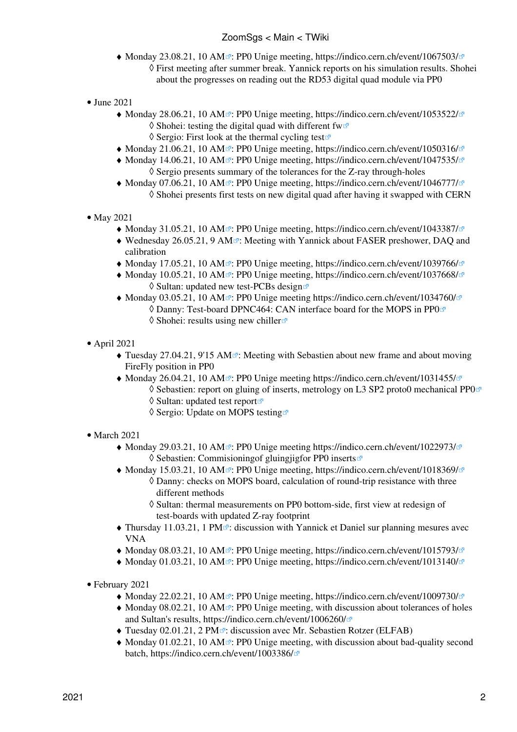- [Monday 23.08.21, 10 AM](https://mediaserver.unige.ch/play/152371)<sup>2</sup>: PP0 Unige meeting,<https://indico.cern.ch/event/1067503/> First meeting after summer break. Yannick reports on his simulation results. Shohei ◊ about the progresses on reading out the RD53 digital quad module via PP0
- June 2021
	- [Monday 28.06.21, 10 AM](https://mediaserver.unige.ch/play/152372)<sup>2</sup>: PP0 Unige meeting,<https://indico.cern.ch/event/1053522/>  $\Diamond$  Shohei: [testing the digital quad with different fw](https://indico.cern.ch/event/1053522/contributions/4427722/attachments/2271923/3858670/PP0_testing_20210628.pdf) $\circ$  $\Diamond$  Sergio: [First look at the thermal cycling test](https://indico.cern.ch/event/1053522/contributions/4427722/attachments/2271923/3898969/280621_sgs_pp0.pdf) $\circ$
	- $\blacklozenge$  [Monday 21.06.21, 10 AM](https://mediaserver.unige.ch/play/152373) $\mathbb{Z}$ : PP0 Unige meeting,<https://indico.cern.ch/event/1050316/> $\mathbb{Z}$
	- [Monday 14.06.21, 10 AM](https://mediaserver.unige.ch/play/151724)<sup>®</sup>: PP0 Unige meeting,<https://indico.cern.ch/event/1047535/> ◊ Sergio presents summary of the tolerances for the Z-ray through-holes
	- [Monday 07.06.21, 10 AM](https://mediaserver.unige.ch/play/151542)<sup>2</sup>: PP0 Unige meeting,<https://indico.cern.ch/event/1046777/> ◊ Shohei presents first tests on new digital quad after having it swapped with CERN
- May 2021
	- $\blacklozenge$  [Monday 31.05.21, 10 AM](https://mediaserver.unige.ch/play/151554)  $\blacktriangledown$ : PP0 Unige meeting,<https://indico.cern.ch/event/1043387/> $\blacktriangledown$
	- [Wednesday 26.05.21, 9 AM](https://mediaserver.unige.ch/play/151564)<sup>2</sup>: Meeting with Yannick about FASER preshower, DAQ and calibration
	- $\blacklozenge$  [Monday 17.05.21, 10 AM](https://mediaserver.unige.ch/play/151555)<sup> $\mathbb{Z}$ </sup>: PP0 Unige meeting,<https://indico.cern.ch/event/1039766/> $\mathbb{Z}$
	- [Monday 10.05.21, 10 AM](https://mediaserver.unige.ch/play/151556)<sup>2</sup>: PP0 Unige meeting,<https://indico.cern.ch/event/1037668/> ◊ Sultan: [updated new test-PCBs design](https://indico.cern.ch/event/1037668/contributions/4357282/attachments/2241691/3800986/Modified%20New%20Test-boards%207May2021.pdf)
	- [Monday 03.05.21, 10 AM](https://mediaserver.unige.ch/play/151559)<sup> $\alpha$ </sup>: PP0 Unige meeting<https://indico.cern.ch/event/1034760/> ◊ Danny: [Test-board DPNC464: CAN interface board for the MOPS in PP0](https://indico.cern.ch/event/1034760/contributions/4345557/attachments/2237476/3792843/ATLAS_ITk%28DPNC464%29.pdf)  $\Diamond$  Shohei: [results using new chiller](https://indico.cern.ch/event/1034760/contributions/4345556/attachments/2237482/3792850/PP0_testing_20210503.pdf)
- April 2021
	- [Tuesday 27.04.21, 9'15 AM](https://mediaserver.unige.ch/play/151565)<sup>®</sup>: Meeting with Sebastien about new frame and about moving FireFly position in PP0
	- [Monday 26.04.21, 10 AM](https://mediaserver.unige.ch/play/151560)<sup>®</sup>: PP0 Unige meeting<https://indico.cern.ch/event/1031455/>
		- $\Diamond$  Sebastien: [report on gluing of inserts, metrology on L3 SP2 proto0 mechanical PP0](https://indico.cern.ch/event/1031455/contributions/4331161/attachments/2232757/3783690/2021_04%28APRIL%29_26_UNIGE_PP0.pdf) $\degree$ ◊ Sultan: [updated test report](https://indico.cern.ch/event/1031455/contributions/4331164/attachments/2232745/3783692/Updated%20Report%2026-04-2021.pdf)
			- ◊ Sergio: [Update on MOPS testing](https://indico.cern.ch/event/1031455/contributions/4331164/attachments/2232745/3783689/260421_sgs_MOPS.pdf)
- March 2021
	- [Monday 29.03.21, 10 AM](https://mediaserver.unige.ch/play/151561)<sup>«</sup> PP0 Unige meeting<https://indico.cern.ch/event/1022973/> ◊ Sebastien: [Commisioningof gluingjigfor PP0 inserts](https://indico.cern.ch/event/1022973/contributions/4294488/attachments/2217226/3753937/2021_03%28MARCH%29_29_PP0_UNIGE.pdf)
	- [Monday 15.03.21, 10 AM](https://mediaserver.unige.ch/play/145796)<sup>®</sup>: PP0 Unige meeting,<https://indico.cern.ch/event/1018369/> Danny: checks on MOPS board, calculation of round-trip resistance with three ◊ different methods
		- ◊ Sultan: thermal measurements on PP0 bottom-side, first view at redesign of test-boards with updated Z-ray footprint
	- [Thursday 11.03.21, 1 PM](https://mediaserver.unige.ch/play/145655)<sup>2</sup>: discussion with Yannick et Daniel sur planning mesures avec VNA
	- $\blacklozenge$  [Monday 08.03.21, 10 AM](https://mediaserver.unige.ch/play/145365)<sup>®</sup>: PP0 Unige meeting,<https://indico.cern.ch/event/1015793/><sup>®</sup>
	- $\blacklozenge$  [Monday 01.03.21, 10 AM](https://mediaserver.unige.ch/play/144510)<sup> $\textcircled{r}$ </sup>: PP0 Unige meeting,<https://indico.cern.ch/event/1013140/> $\textcircled{r}$
- February 2021
	- ♦ [Monday 22.02.21, 10 AM](https://mediaserver.unige.ch/play/143876) : PP0 Unige meeting,<https://indico.cern.ch/event/1009730/>
	- [Monday 08.02.21, 10 AM](https://mediaserver.unige.ch/play/143210)<sup>2</sup>: PP0 Unige meeting, with discussion about tolerances of holes and Sultan's results, <https://indico.cern.ch/event/1006260/>
	- $\blacklozenge$  [Tuesday 02.01.21, 2 PM](https://mediaserver.unige.ch/play/143098)<sup> $\blacktriangledown$ </sup>: discussion avec Mr. Sebastien Rotzer (ELFAB)
	- [Monday 01.02.21, 10 AM](https://mediaserver.unige.ch/play/143105)<sup>®</sup>: PP0 Unige meeting, with discussion about bad-quality second batch,<https://indico.cern.ch/event/1003386/>